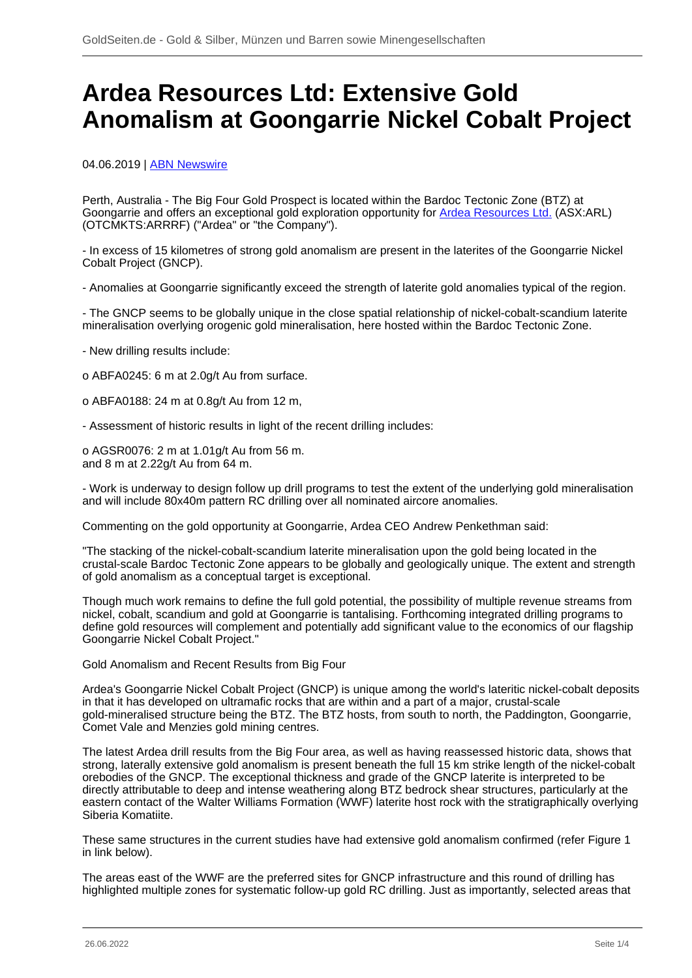# **Ardea Resources Ltd: Extensive Gold Anomalism at Goongarrie Nickel Cobalt Project**

04.06.2019 | [ABN Newswire](/profil/222--ABN-Newswire)

Perth, Australia - The Big Four Gold Prospect is located within the Bardoc Tectonic Zone (BTZ) at Goongarrie and offers an exceptional gold exploration opportunity for [Ardea Resources Ltd.](/minen/3290--Ardea-Resources-Ltd) (ASX:ARL) (OTCMKTS:ARRRF) ("Ardea" or "the Company").

- In excess of 15 kilometres of strong gold anomalism are present in the laterites of the Goongarrie Nickel Cobalt Project (GNCP).

- Anomalies at Goongarrie significantly exceed the strength of laterite gold anomalies typical of the region.

- The GNCP seems to be globally unique in the close spatial relationship of nickel-cobalt-scandium laterite mineralisation overlying orogenic gold mineralisation, here hosted within the Bardoc Tectonic Zone.

- New drilling results include:

o ABFA0245: 6 m at 2.0g/t Au from surface.

o ABFA0188: 24 m at 0.8g/t Au from 12 m,

- Assessment of historic results in light of the recent drilling includes:

o AGSR0076: 2 m at 1.01g/t Au from 56 m. and 8 m at 2.22g/t Au from 64 m.

- Work is underway to design follow up drill programs to test the extent of the underlying gold mineralisation and will include 80x40m pattern RC drilling over all nominated aircore anomalies.

Commenting on the gold opportunity at Goongarrie, Ardea CEO Andrew Penkethman said:

"The stacking of the nickel-cobalt-scandium laterite mineralisation upon the gold being located in the crustal-scale Bardoc Tectonic Zone appears to be globally and geologically unique. The extent and strength of gold anomalism as a conceptual target is exceptional.

Though much work remains to define the full gold potential, the possibility of multiple revenue streams from nickel, cobalt, scandium and gold at Goongarrie is tantalising. Forthcoming integrated drilling programs to define gold resources will complement and potentially add significant value to the economics of our flagship Goongarrie Nickel Cobalt Project."

Gold Anomalism and Recent Results from Big Four

Ardea's Goongarrie Nickel Cobalt Project (GNCP) is unique among the world's lateritic nickel-cobalt deposits in that it has developed on ultramafic rocks that are within and a part of a major, crustal-scale gold-mineralised structure being the BTZ. The BTZ hosts, from south to north, the Paddington, Goongarrie, Comet Vale and Menzies gold mining centres.

The latest Ardea drill results from the Big Four area, as well as having reassessed historic data, shows that strong, laterally extensive gold anomalism is present beneath the full 15 km strike length of the nickel-cobalt orebodies of the GNCP. The exceptional thickness and grade of the GNCP laterite is interpreted to be directly attributable to deep and intense weathering along BTZ bedrock shear structures, particularly at the eastern contact of the Walter Williams Formation (WWF) laterite host rock with the stratigraphically overlying Siberia Komatiite.

These same structures in the current studies have had extensive gold anomalism confirmed (refer Figure 1 in link below).

The areas east of the WWF are the preferred sites for GNCP infrastructure and this round of drilling has highlighted multiple zones for systematic follow-up gold RC drilling. Just as importantly, selected areas that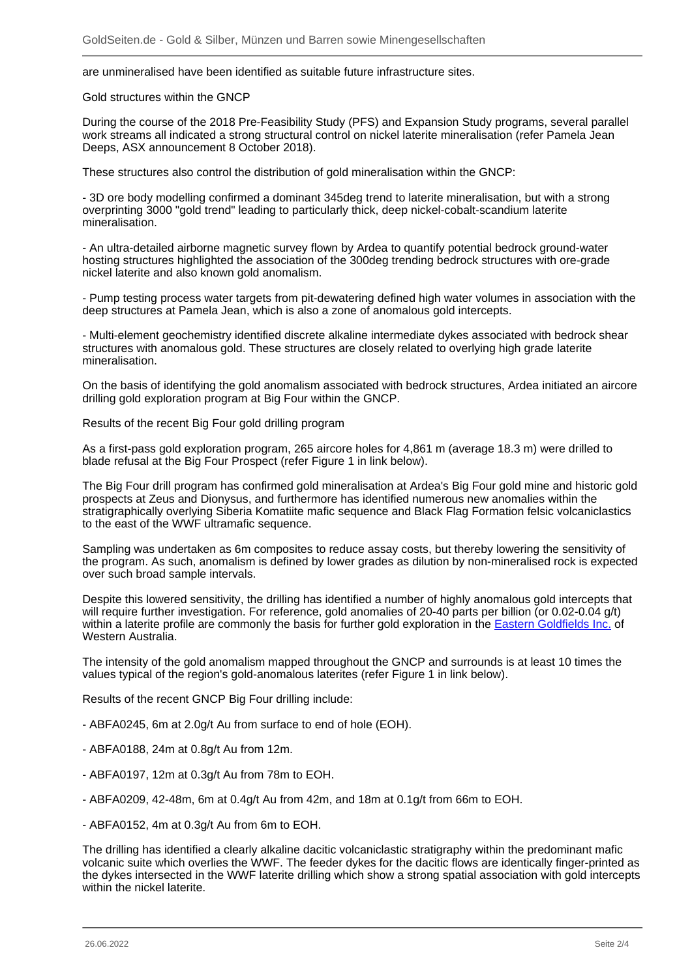are unmineralised have been identified as suitable future infrastructure sites.

Gold structures within the GNCP

During the course of the 2018 Pre-Feasibility Study (PFS) and Expansion Study programs, several parallel work streams all indicated a strong structural control on nickel laterite mineralisation (refer Pamela Jean Deeps, ASX announcement 8 October 2018).

These structures also control the distribution of gold mineralisation within the GNCP:

- 3D ore body modelling confirmed a dominant 345deg trend to laterite mineralisation, but with a strong overprinting 3000 "gold trend" leading to particularly thick, deep nickel-cobalt-scandium laterite mineralisation.

- An ultra-detailed airborne magnetic survey flown by Ardea to quantify potential bedrock ground-water hosting structures highlighted the association of the 300deg trending bedrock structures with ore-grade nickel laterite and also known gold anomalism.

- Pump testing process water targets from pit-dewatering defined high water volumes in association with the deep structures at Pamela Jean, which is also a zone of anomalous gold intercepts.

- Multi-element geochemistry identified discrete alkaline intermediate dykes associated with bedrock shear structures with anomalous gold. These structures are closely related to overlying high grade laterite mineralisation.

On the basis of identifying the gold anomalism associated with bedrock structures, Ardea initiated an aircore drilling gold exploration program at Big Four within the GNCP.

Results of the recent Big Four gold drilling program

As a first-pass gold exploration program, 265 aircore holes for 4,861 m (average 18.3 m) were drilled to blade refusal at the Big Four Prospect (refer Figure 1 in link below).

The Big Four drill program has confirmed gold mineralisation at Ardea's Big Four gold mine and historic gold prospects at Zeus and Dionysus, and furthermore has identified numerous new anomalies within the stratigraphically overlying Siberia Komatiite mafic sequence and Black Flag Formation felsic volcaniclastics to the east of the WWF ultramafic sequence.

Sampling was undertaken as 6m composites to reduce assay costs, but thereby lowering the sensitivity of the program. As such, anomalism is defined by lower grades as dilution by non-mineralised rock is expected over such broad sample intervals.

Despite this lowered sensitivity, the drilling has identified a number of highly anomalous gold intercepts that will require further investigation. For reference, gold anomalies of 20-40 parts per billion (or 0.02-0.04 g/t) within a laterite profile are commonly the basis for further gold exploration in the [Eastern Goldfields Inc.](/minen/1185--Eastern-Goldfields-Inc) of Western Australia.

The intensity of the gold anomalism mapped throughout the GNCP and surrounds is at least 10 times the values typical of the region's gold-anomalous laterites (refer Figure 1 in link below).

Results of the recent GNCP Big Four drilling include:

- ABFA0245, 6m at 2.0g/t Au from surface to end of hole (EOH).
- ABFA0188, 24m at 0.8g/t Au from 12m.
- ABFA0197, 12m at 0.3g/t Au from 78m to EOH.
- ABFA0209, 42-48m, 6m at 0.4g/t Au from 42m, and 18m at 0.1g/t from 66m to EOH.
- ABFA0152, 4m at 0.3g/t Au from 6m to EOH.

The drilling has identified a clearly alkaline dacitic volcaniclastic stratigraphy within the predominant mafic volcanic suite which overlies the WWF. The feeder dykes for the dacitic flows are identically finger-printed as the dykes intersected in the WWF laterite drilling which show a strong spatial association with gold intercepts within the nickel laterite.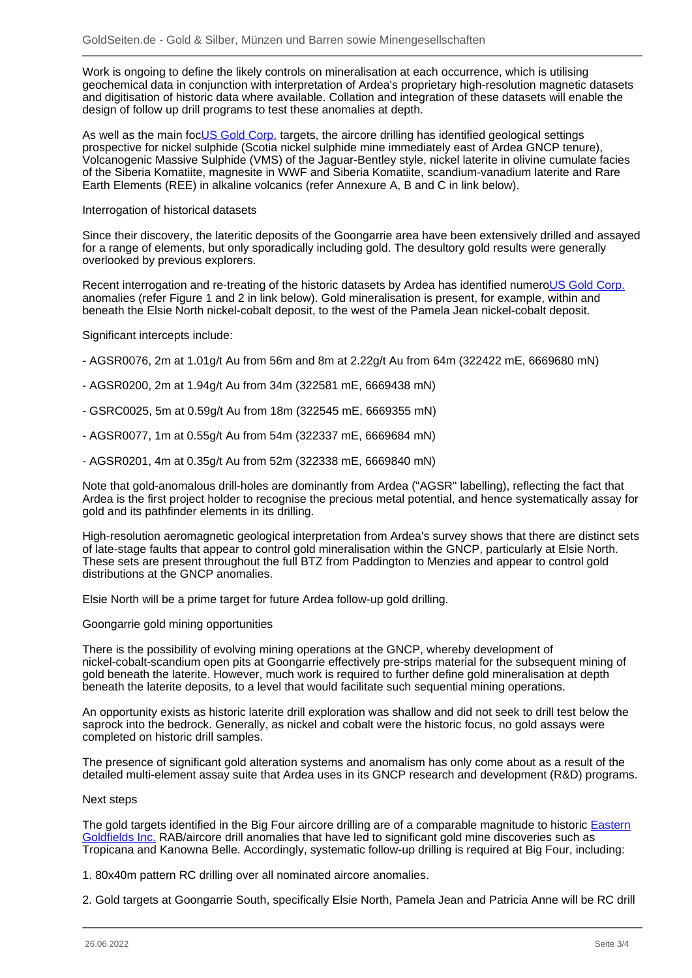Work is ongoing to define the likely controls on mineralisation at each occurrence, which is utilising geochemical data in conjunction with interpretation of Ardea's proprietary high-resolution magnetic datasets and digitisation of historic data where available. Collation and integration of these datasets will enable the design of follow up drill programs to test these anomalies at depth.

As well as the main foc**US Gold Corp.** targets, the aircore drilling has identified geological settings prospective for nickel sulphide (Scotia nickel sulphide mine immediately east of Ardea GNCP tenure), Volcanogenic Massive Sulphide (VMS) of the Jaguar-Bentley style, nickel laterite in olivine cumulate facies of the Siberia Komatiite, magnesite in WWF and Siberia Komatiite, scandium-vanadium laterite and Rare Earth Elements (REE) in alkaline volcanics (refer Annexure A, B and C in link below).

## Interrogation of historical datasets

Since their discovery, the lateritic deposits of the Goongarrie area have been extensively drilled and assayed for a range of elements, but only sporadically including gold. The desultory gold results were generally overlooked by previous explorers.

Recent interrogation and re-treating of the historic datasets by Ardea has identified numero[US Gold Corp.](/minen/339--US-Gold-Corp) anomalies (refer Figure 1 and 2 in link below). Gold mineralisation is present, for example, within and beneath the Elsie North nickel-cobalt deposit, to the west of the Pamela Jean nickel-cobalt deposit.

## Significant intercepts include:

- AGSR0076, 2m at 1.01g/t Au from 56m and 8m at 2.22g/t Au from 64m (322422 mE, 6669680 mN)
- AGSR0200, 2m at 1.94g/t Au from 34m (322581 mE, 6669438 mN)
- GSRC0025, 5m at 0.59g/t Au from 18m (322545 mE, 6669355 mN)
- AGSR0077, 1m at 0.55g/t Au from 54m (322337 mE, 6669684 mN)
- AGSR0201, 4m at 0.35g/t Au from 52m (322338 mE, 6669840 mN)

Note that gold-anomalous drill-holes are dominantly from Ardea ("AGSR" labelling), reflecting the fact that Ardea is the first project holder to recognise the precious metal potential, and hence systematically assay for gold and its pathfinder elements in its drilling.

High-resolution aeromagnetic geological interpretation from Ardea's survey shows that there are distinct sets of late-stage faults that appear to control gold mineralisation within the GNCP, particularly at Elsie North. These sets are present throughout the full BTZ from Paddington to Menzies and appear to control gold distributions at the GNCP anomalies.

Elsie North will be a prime target for future Ardea follow-up gold drilling.

### Goongarrie gold mining opportunities

There is the possibility of evolving mining operations at the GNCP, whereby development of nickel-cobalt-scandium open pits at Goongarrie effectively pre-strips material for the subsequent mining of gold beneath the laterite. However, much work is required to further define gold mineralisation at depth beneath the laterite deposits, to a level that would facilitate such sequential mining operations.

An opportunity exists as historic laterite drill exploration was shallow and did not seek to drill test below the saprock into the bedrock. Generally, as nickel and cobalt were the historic focus, no gold assays were completed on historic drill samples.

The presence of significant gold alteration systems and anomalism has only come about as a result of the detailed multi-element assay suite that Ardea uses in its GNCP research and development (R&D) programs.

### Next steps

The gold targets identified in the Big Four aircore drilling are of a comparable magnitude to historic [Eastern](/minen/1185--Eastern-Goldfields-Inc) [Goldfields Inc.](/minen/1185--Eastern-Goldfields-Inc) RAB/aircore drill anomalies that have led to significant gold mine discoveries such as Tropicana and Kanowna Belle. Accordingly, systematic follow-up drilling is required at Big Four, including:

- 1. 80x40m pattern RC drilling over all nominated aircore anomalies.
- 2. Gold targets at Goongarrie South, specifically Elsie North, Pamela Jean and Patricia Anne will be RC drill